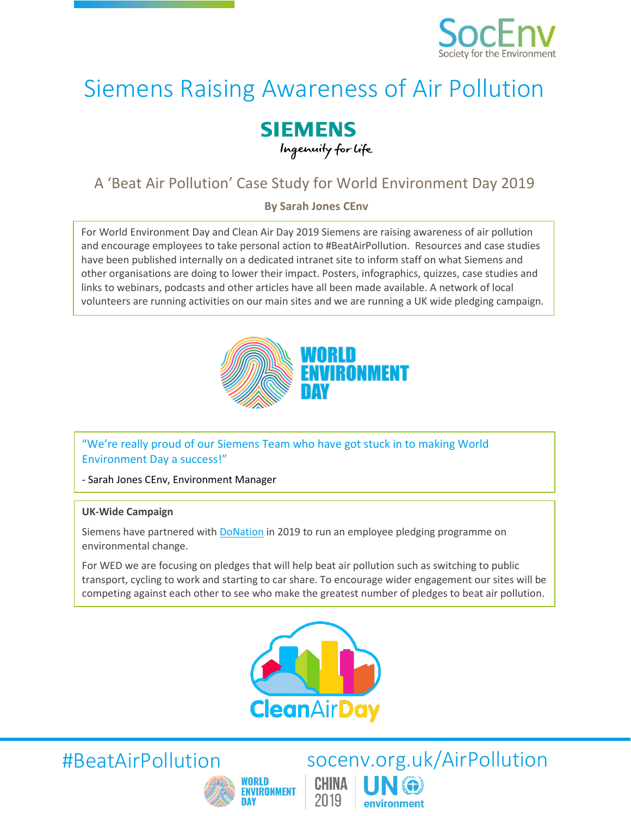

# Siemens Raising Awareness of Air Pollution

### **SIEMENS** Ingenuity for Life

## A 'Beat Air Pollution' Case Study for World Environment Day 2019

**By Sarah Jones CEnv**

For World Environment Day and Clean Air Day 2019 Siemens are raising awareness of air pollution and encourage employees to take personal action to #BeatAirPollution. Resources and case studies have been published internally on a dedicated intranet site to inform staff on what Siemens and other organisations are doing to lower their impact. Posters, infographics, quizzes, case studies and links to webinars, podcasts and other articles have all been made available. A network of local volunteers are running activities on our main sites and we are running a UK wide pledging campaign.



"We're really proud of our Siemens Team who have got stuck in to making World Environment Day a success!"

- Sarah Jones CEnv, Environment Manager

#### **UK-Wide Campaign**

Siemens have partnered with [DoNation](https://www.wearedonation.com/) in 2019 to run an employee pledging programme on environmental change.

For WED we are focusing on pledges that will help beat air pollution such as switching to public transport, cycling to work and starting to car share. To encourage wider engagement our sites will be competing against each other to see who make the greatest number of pledges to beat air pollution.





#BeatAirPollution socenv.org.uk/AirPollution CHINA 2019 environment